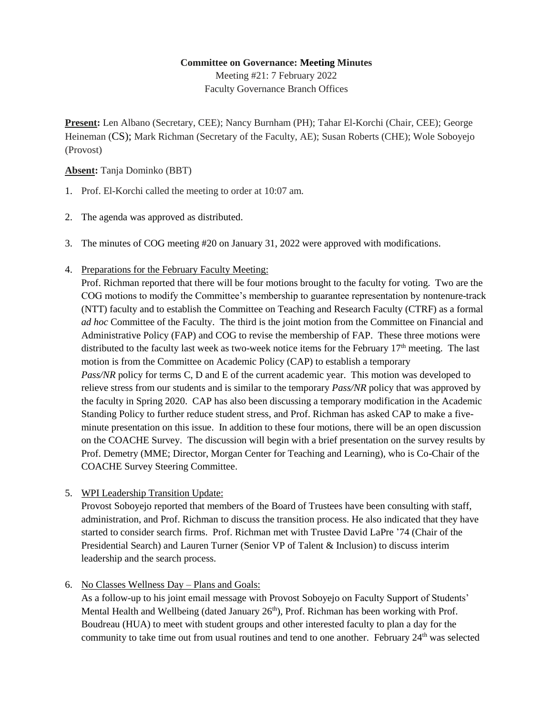#### **Committee on Governance: Meeting Minutes**

Meeting #21: 7 February 2022 Faculty Governance Branch Offices

**Present:** Len Albano (Secretary, CEE); Nancy Burnham (PH); Tahar El-Korchi (Chair, CEE); George Heineman (CS); Mark Richman (Secretary of the Faculty, AE); Susan Roberts (CHE); Wole Soboyejo (Provost)

#### **Absent:** Tanja Dominko (BBT)

- 1. Prof. El-Korchi called the meeting to order at 10:07 am.
- 2. The agenda was approved as distributed.
- 3. The minutes of COG meeting #20 on January 31, 2022 were approved with modifications.
- 4. Preparations for the February Faculty Meeting:

Prof. Richman reported that there will be four motions brought to the faculty for voting. Two are the COG motions to modify the Committee's membership to guarantee representation by nontenure-track (NTT) faculty and to establish the Committee on Teaching and Research Faculty (CTRF) as a formal *ad hoc* Committee of the Faculty. The third is the joint motion from the Committee on Financial and Administrative Policy (FAP) and COG to revise the membership of FAP. These three motions were distributed to the faculty last week as two-week notice items for the February  $17<sup>th</sup>$  meeting. The last motion is from the Committee on Academic Policy (CAP) to establish a temporary *Pass/NR* policy for terms C, D and E of the current academic year. This motion was developed to relieve stress from our students and is similar to the temporary *Pass/NR* policy that was approved by the faculty in Spring 2020. CAP has also been discussing a temporary modification in the Academic Standing Policy to further reduce student stress, and Prof. Richman has asked CAP to make a fiveminute presentation on this issue. In addition to these four motions, there will be an open discussion on the COACHE Survey. The discussion will begin with a brief presentation on the survey results by Prof. Demetry (MME; Director, Morgan Center for Teaching and Learning), who is Co-Chair of the COACHE Survey Steering Committee.

5. WPI Leadership Transition Update:

Provost Soboyejo reported that members of the Board of Trustees have been consulting with staff, administration, and Prof. Richman to discuss the transition process. He also indicated that they have started to consider search firms. Prof. Richman met with Trustee David LaPre '74 (Chair of the Presidential Search) and Lauren Turner (Senior VP of Talent & Inclusion) to discuss interim leadership and the search process.

### 6. No Classes Wellness Day – Plans and Goals:

As a follow-up to his joint email message with Provost Soboyejo on Faculty Support of Students' Mental Health and Wellbeing (dated January  $26<sup>th</sup>$ ), Prof. Richman has been working with Prof. Boudreau (HUA) to meet with student groups and other interested faculty to plan a day for the community to take time out from usual routines and tend to one another. February 24<sup>th</sup> was selected